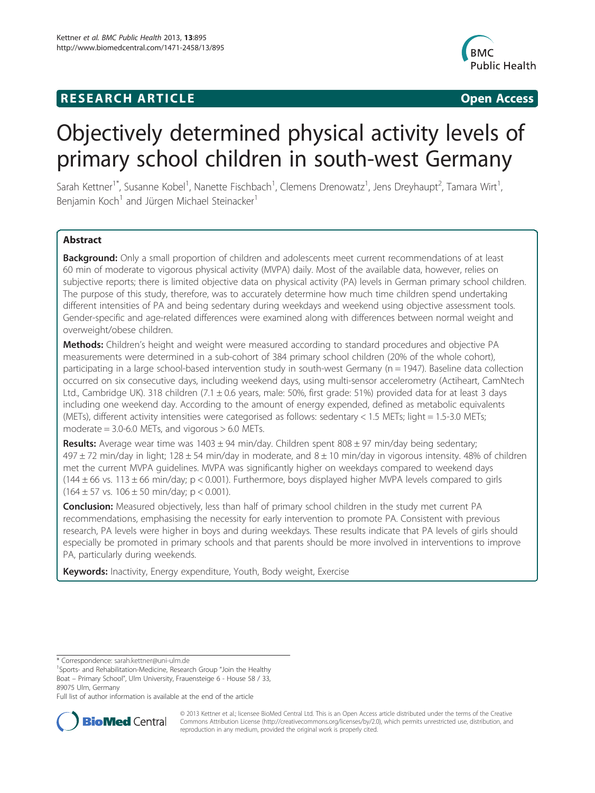## **RESEARCH ARTICLE Example 2014 12:30 The SEAR CHIPS 2014 12:30 The SEAR CHIPS 2014 12:30 The SEAR CHIPS 2014 12:30 The SEAR CHIPS 2014 12:30 The SEAR CHIPS 2014 12:30 THE SEARCH ARTICLE**



# Objectively determined physical activity levels of primary school children in south-west Germany

Sarah Kettner<sup>1\*</sup>, Susanne Kobel<sup>1</sup>, Nanette Fischbach<sup>1</sup>, Clemens Drenowatz<sup>1</sup>, Jens Dreyhaupt<sup>2</sup>, Tamara Wirt<sup>1</sup> , Benjamin Koch<sup>1</sup> and Jürgen Michael Steinacker<sup>1</sup>

## Abstract

**Background:** Only a small proportion of children and adolescents meet current recommendations of at least 60 min of moderate to vigorous physical activity (MVPA) daily. Most of the available data, however, relies on subjective reports; there is limited objective data on physical activity (PA) levels in German primary school children. The purpose of this study, therefore, was to accurately determine how much time children spend undertaking different intensities of PA and being sedentary during weekdays and weekend using objective assessment tools. Gender-specific and age-related differences were examined along with differences between normal weight and overweight/obese children.

Methods: Children's height and weight were measured according to standard procedures and objective PA measurements were determined in a sub-cohort of 384 primary school children (20% of the whole cohort), participating in a large school-based intervention study in south-west Germany (n = 1947). Baseline data collection occurred on six consecutive days, including weekend days, using multi-sensor accelerometry (Actiheart, CamNtech Ltd., Cambridge UK). 318 children  $(7.1 \pm 0.6$  years, male: 50%, first grade: 51%) provided data for at least 3 days including one weekend day. According to the amount of energy expended, defined as metabolic equivalents (METs), different activity intensities were categorised as follows: sedentary < 1.5 METs; light = 1.5-3.0 METs; moderate  $= 3.0$ -6.0 METs, and vigorous  $> 6.0$  METs.

**Results:** Average wear time was  $1403 \pm 94$  min/day. Children spent 808  $\pm$  97 min/day being sedentary;  $497 \pm 72$  min/day in light;  $128 \pm 54$  min/day in moderate, and  $8 \pm 10$  min/day in vigorous intensity. 48% of children met the current MVPA guidelines. MVPA was significantly higher on weekdays compared to weekend days  $(144 \pm 66$  vs. 113  $\pm 66$  min/day; p < 0.001). Furthermore, boys displayed higher MVPA levels compared to girls  $(164 \pm 57 \text{ vs. } 106 \pm 50 \text{ min/day}; p < 0.001)$ .

Conclusion: Measured objectively, less than half of primary school children in the study met current PA recommendations, emphasising the necessity for early intervention to promote PA. Consistent with previous research, PA levels were higher in boys and during weekdays. These results indicate that PA levels of girls should especially be promoted in primary schools and that parents should be more involved in interventions to improve PA, particularly during weekends.

Keywords: Inactivity, Energy expenditure, Youth, Body weight, Exercise

Full list of author information is available at the end of the article



© 2013 Kettner et al.; licensee BioMed Central Ltd. This is an Open Access article distributed under the terms of the Creative Commons Attribution License [\(http://creativecommons.org/licenses/by/2.0\)](http://creativecommons.org/licenses/by/2.0), which permits unrestricted use, distribution, and reproduction in any medium, provided the original work is properly cited.

<sup>\*</sup> Correspondence: [sarah.kettner@uni-ulm.de](mailto:sarah.kettner@uni-ulm.de) <sup>1</sup>

<sup>&</sup>lt;sup>1</sup>Sports- and Rehabilitation-Medicine, Research Group "Join the Healthy Boat – Primary School", Ulm University, Frauensteige 6 - House 58 / 33, 89075 Ulm, Germany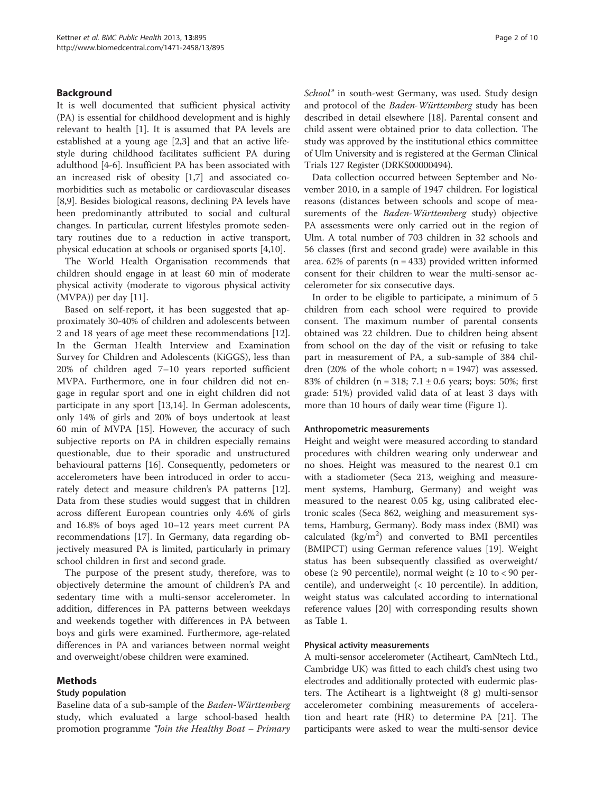## Background

It is well documented that sufficient physical activity (PA) is essential for childhood development and is highly relevant to health [\[1\]](#page-7-0). It is assumed that PA levels are established at a young age [\[2,3\]](#page-7-0) and that an active lifestyle during childhood facilitates sufficient PA during adulthood [\[4](#page-7-0)-[6\]](#page-7-0). Insufficient PA has been associated with an increased risk of obesity [[1](#page-7-0),[7\]](#page-7-0) and associated comorbidities such as metabolic or cardiovascular diseases [[8,9\]](#page-7-0). Besides biological reasons, declining PA levels have been predominantly attributed to social and cultural changes. In particular, current lifestyles promote sedentary routines due to a reduction in active transport, physical education at schools or organised sports [[4,10\]](#page-7-0).

The World Health Organisation recommends that children should engage in at least 60 min of moderate physical activity (moderate to vigorous physical activity (MVPA)) per day [\[11](#page-7-0)].

Based on self-report, it has been suggested that approximately 30-40% of children and adolescents between 2 and 18 years of age meet these recommendations [\[12](#page-8-0)]. In the German Health Interview and Examination Survey for Children and Adolescents (KiGGS), less than 20% of children aged 7–10 years reported sufficient MVPA. Furthermore, one in four children did not engage in regular sport and one in eight children did not participate in any sport [\[13,14\]](#page-8-0). In German adolescents, only 14% of girls and 20% of boys undertook at least 60 min of MVPA [[15](#page-8-0)]. However, the accuracy of such subjective reports on PA in children especially remains questionable, due to their sporadic and unstructured behavioural patterns [[16](#page-8-0)]. Consequently, pedometers or accelerometers have been introduced in order to accurately detect and measure children's PA patterns [\[12](#page-8-0)]. Data from these studies would suggest that in children across different European countries only 4.6% of girls and 16.8% of boys aged 10–12 years meet current PA recommendations [\[17](#page-8-0)]. In Germany, data regarding objectively measured PA is limited, particularly in primary school children in first and second grade.

The purpose of the present study, therefore, was to objectively determine the amount of children's PA and sedentary time with a multi-sensor accelerometer. In addition, differences in PA patterns between weekdays and weekends together with differences in PA between boys and girls were examined. Furthermore, age-related differences in PA and variances between normal weight and overweight/obese children were examined.

## Methods

#### Study population

Baseline data of a sub-sample of the Baden-Württemberg study, which evaluated a large school-based health promotion programme "Join the Healthy Boat – Primary School" in south-west Germany, was used. Study design and protocol of the Baden-Württemberg study has been described in detail elsewhere [[18\]](#page-8-0). Parental consent and child assent were obtained prior to data collection. The study was approved by the institutional ethics committee of Ulm University and is registered at the German Clinical Trials 127 Register (DRKS00000494).

Data collection occurred between September and November 2010, in a sample of 1947 children. For logistical reasons (distances between schools and scope of measurements of the Baden-Württemberg study) objective PA assessments were only carried out in the region of Ulm. A total number of 703 children in 32 schools and 56 classes (first and second grade) were available in this area.  $62\%$  of parents ( $n = 433$ ) provided written informed consent for their children to wear the multi-sensor accelerometer for six consecutive days.

In order to be eligible to participate, a minimum of 5 children from each school were required to provide consent. The maximum number of parental consents obtained was 22 children. Due to children being absent from school on the day of the visit or refusing to take part in measurement of PA, a sub-sample of 384 children  $(20\% \text{ of the whole cohort}; n = 1947)$  was assessed. 83% of children ( $n = 318$ ; 7.1 ± 0.6 years; boys: 50%; first grade: 51%) provided valid data of at least 3 days with more than 10 hours of daily wear time (Figure [1](#page-2-0)).

#### Anthropometric measurements

Height and weight were measured according to standard procedures with children wearing only underwear and no shoes. Height was measured to the nearest 0.1 cm with a stadiometer (Seca 213, weighing and measurement systems, Hamburg, Germany) and weight was measured to the nearest 0.05 kg, using calibrated electronic scales (Seca 862, weighing and measurement systems, Hamburg, Germany). Body mass index (BMI) was calculated  $(kg/m^2)$  and converted to BMI percentiles (BMIPCT) using German reference values [\[19](#page-8-0)]. Weight status has been subsequently classified as overweight/ obese (≥ 90 percentile), normal weight (≥ 10 to < 90 percentile), and underweight (< 10 percentile). In addition, weight status was calculated according to international reference values [[20\]](#page-8-0) with corresponding results shown as Table [1.](#page-2-0)

## Physical activity measurements

A multi-sensor accelerometer (Actiheart, CamNtech Ltd., Cambridge UK) was fitted to each child's chest using two electrodes and additionally protected with eudermic plasters. The Actiheart is a lightweight (8 g) multi-sensor accelerometer combining measurements of acceleration and heart rate (HR) to determine PA [[21\]](#page-8-0). The participants were asked to wear the multi-sensor device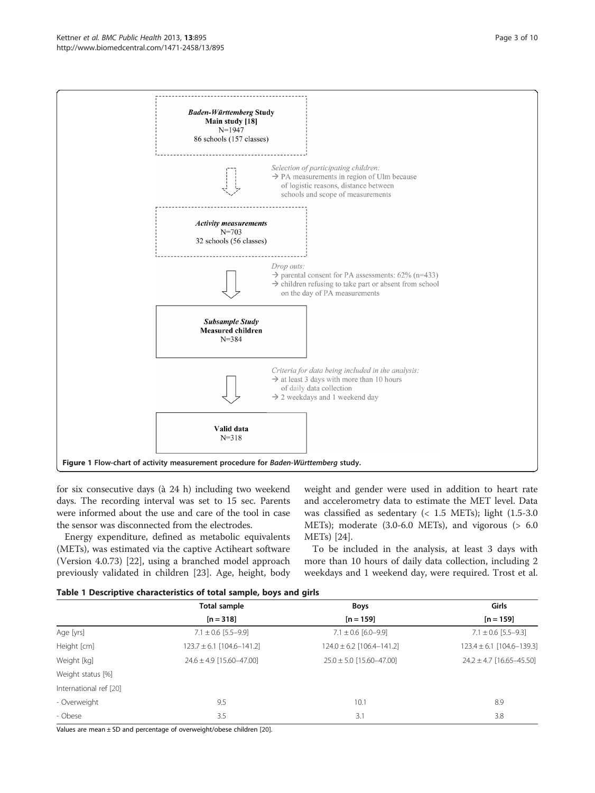<span id="page-2-0"></span>

for six consecutive days (à 24 h) including two weekend days. The recording interval was set to 15 sec. Parents were informed about the use and care of the tool in case the sensor was disconnected from the electrodes.

Energy expenditure, defined as metabolic equivalents (METs), was estimated via the captive Actiheart software (Version 4.0.73) [\[22](#page-8-0)], using a branched model approach previously validated in children [[23\]](#page-8-0). Age, height, body

weight and gender were used in addition to heart rate and accelerometry data to estimate the MET level. Data was classified as sedentary (< 1.5 METs); light (1.5-3.0 METs); moderate (3.0-6.0 METs), and vigorous (> 6.0 METs) [\[24\]](#page-8-0).

To be included in the analysis, at least 3 days with more than 10 hours of daily data collection, including 2 weekdays and 1 weekend day, were required. Trost et al.

|  |  |  | Table 1 Descriptive characteristics of total sample, boys and girls |  |  |  |  |
|--|--|--|---------------------------------------------------------------------|--|--|--|--|
|--|--|--|---------------------------------------------------------------------|--|--|--|--|

|                        | <b>Total sample</b>           | <b>Boys</b>                   | Girls                         |
|------------------------|-------------------------------|-------------------------------|-------------------------------|
|                        | $[n = 318]$                   | $[n = 159]$                   | $[n = 159]$                   |
| Age [yrs]              | $7.1 \pm 0.6$ [5.5-9.9]       | $7.1 \pm 0.6$ [6.0-9.9]       | $7.1 \pm 0.6$ [5.5-9.3]       |
| Height [cm]            | $123.7 \pm 6.1$ [104.6-141.2] | $124.0 \pm 6.2$ [106.4-141.2] | $123.4 \pm 6.1$ [104.6-139.3] |
| Weight [kg]            | $24.6 \pm 4.9$ [15.60-47.00]  | $25.0 \pm 5.0$ [15.60-47.00]  | $24.2 \pm 4.7$ [16.65-45.50]  |
| Weight status [%]      |                               |                               |                               |
| International ref [20] |                               |                               |                               |
| - Overweight           | 9.5                           | 10.1                          | 8.9                           |
| - Obese                | 3.5                           | 3.1                           | 3.8                           |

Values are mean ± SD and percentage of overweight/obese children [\[20](#page-8-0)].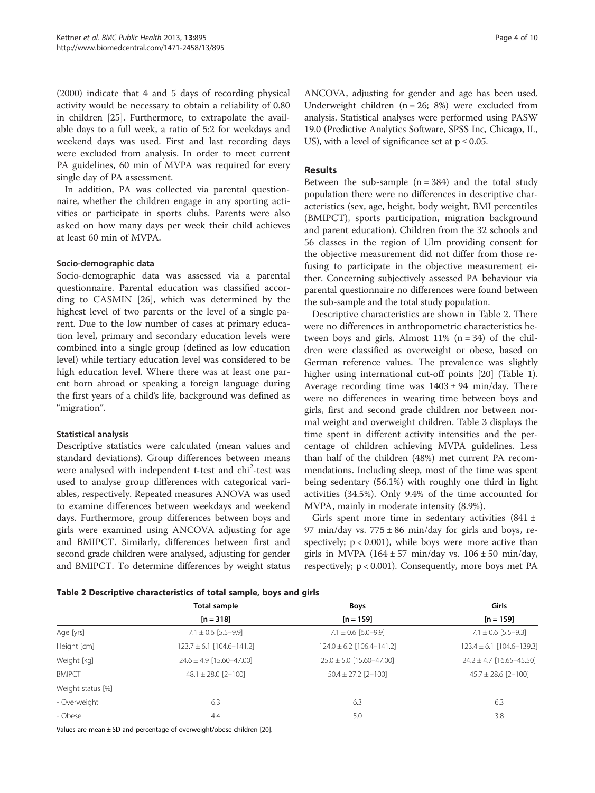(2000) indicate that 4 and 5 days of recording physical activity would be necessary to obtain a reliability of 0.80 in children [\[25](#page-8-0)]. Furthermore, to extrapolate the available days to a full week, a ratio of 5:2 for weekdays and weekend days was used. First and last recording days were excluded from analysis. In order to meet current PA guidelines, 60 min of MVPA was required for every single day of PA assessment.

In addition, PA was collected via parental questionnaire, whether the children engage in any sporting activities or participate in sports clubs. Parents were also asked on how many days per week their child achieves at least 60 min of MVPA.

## Socio-demographic data

Socio-demographic data was assessed via a parental questionnaire. Parental education was classified according to CASMIN [[26](#page-8-0)], which was determined by the highest level of two parents or the level of a single parent. Due to the low number of cases at primary education level, primary and secondary education levels were combined into a single group (defined as low education level) while tertiary education level was considered to be high education level. Where there was at least one parent born abroad or speaking a foreign language during the first years of a child's life, background was defined as "migration".

#### Statistical analysis

Descriptive statistics were calculated (mean values and standard deviations). Group differences between means were analysed with independent t-test and chi<sup>2</sup>-test was used to analyse group differences with categorical variables, respectively. Repeated measures ANOVA was used to examine differences between weekdays and weekend days. Furthermore, group differences between boys and girls were examined using ANCOVA adjusting for age and BMIPCT. Similarly, differences between first and second grade children were analysed, adjusting for gender and BMIPCT. To determine differences by weight status ANCOVA, adjusting for gender and age has been used. Underweight children  $(n = 26; 8%)$  were excluded from analysis. Statistical analyses were performed using PASW 19.0 (Predictive Analytics Software, SPSS Inc, Chicago, IL, US), with a level of significance set at  $p \le 0.05$ .

## Results

Between the sub-sample  $(n = 384)$  and the total study population there were no differences in descriptive characteristics (sex, age, height, body weight, BMI percentiles (BMIPCT), sports participation, migration background and parent education). Children from the 32 schools and 56 classes in the region of Ulm providing consent for the objective measurement did not differ from those refusing to participate in the objective measurement either. Concerning subjectively assessed PA behaviour via parental questionnaire no differences were found between the sub-sample and the total study population.

Descriptive characteristics are shown in Table 2. There were no differences in anthropometric characteristics between boys and girls. Almost  $11\%$  (n = 34) of the children were classified as overweight or obese, based on German reference values. The prevalence was slightly higher using international cut-off points [[20](#page-8-0)] (Table [1](#page-2-0)). Average recording time was  $1403 \pm 94$  min/day. There were no differences in wearing time between boys and girls, first and second grade children nor between normal weight and overweight children. Table [3](#page-4-0) displays the time spent in different activity intensities and the percentage of children achieving MVPA guidelines. Less than half of the children (48%) met current PA recommendations. Including sleep, most of the time was spent being sedentary (56.1%) with roughly one third in light activities (34.5%). Only 9.4% of the time accounted for MVPA, mainly in moderate intensity (8.9%).

Girls spent more time in sedentary activities  $(841 \pm$ 97 min/day vs.  $775 \pm 86$  min/day for girls and boys, respectively;  $p < 0.001$ ), while boys were more active than girls in MVPA  $(164 \pm 57 \text{ min/day}$  vs.  $106 \pm 50 \text{ min/day}$ , respectively; p < 0.001). Consequently, more boys met PA

Table 2 Descriptive characteristics of total sample, boys and girls

|                   | Total sample                  | <b>Boys</b>                   | Girls                         |
|-------------------|-------------------------------|-------------------------------|-------------------------------|
|                   | $[n = 318]$                   | $[n = 159]$                   | $[n = 159]$                   |
| Age [yrs]         | $7.1 \pm 0.6$ [5.5-9.9]       | $7.1 \pm 0.6$ [6.0-9.9]       | $7.1 \pm 0.6$ [5.5-9.3]       |
| Height [cm]       | $123.7 \pm 6.1$ [104.6-141.2] | $124.0 \pm 6.2$ [106.4-141.2] | $123.4 \pm 6.1$ [104.6-139.3] |
| Weight [kg]       | $24.6 \pm 4.9$ [15.60-47.00]  | $25.0 \pm 5.0$ [15.60-47.00]  | $24.2 \pm 4.7$ [16.65-45.50]  |
| <b>BMIPCT</b>     | $48.1 \pm 28.0$ [2-100]       | $50.4 \pm 27.2$ [2-100]       | $45.7 \pm 28.6$ [2-100]       |
| Weight status [%] |                               |                               |                               |
| - Overweight      | 6.3                           | 6.3                           | 6.3                           |
| - Obese           | 4.4                           | 5.0                           | 3.8                           |

Values are mean ± SD and percentage of overweight/obese children [\[20](#page-8-0)].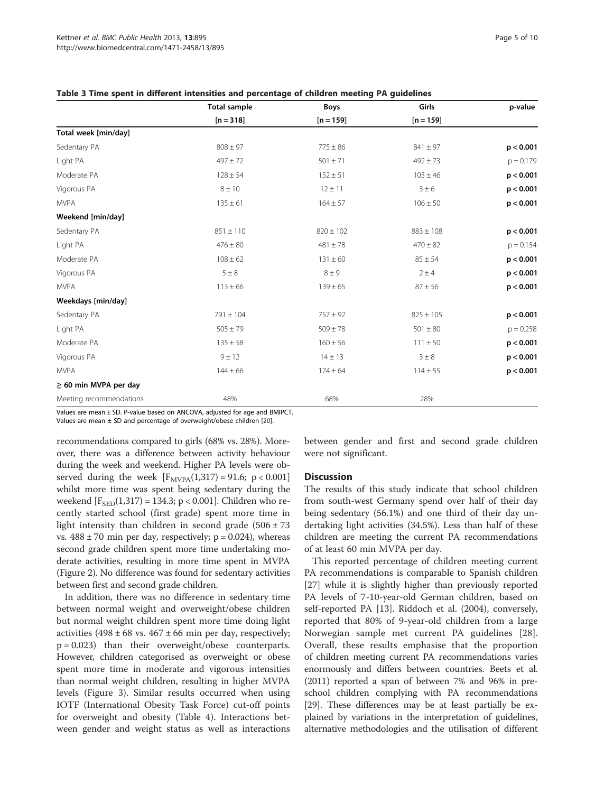|                            | <b>Total sample</b> | <b>Boys</b>   | Girls         | p-value     |
|----------------------------|---------------------|---------------|---------------|-------------|
|                            | $[n = 318]$         | $[n = 159]$   | $[n = 159]$   |             |
| Total week [min/day]       |                     |               |               |             |
| Sedentary PA               | $808 \pm 97$        | $775 \pm 86$  | $841 \pm 97$  | p < 0.001   |
| Light PA                   | $497 \pm 72$        | $501 \pm 71$  | $492 \pm 73$  | $p = 0.179$ |
| Moderate PA                | $128 \pm 54$        | $152 \pm 51$  | $103 \pm 46$  | p < 0.001   |
| Vigorous PA                | $8 \pm 10$          | $12 \pm 11$   | $3 \pm 6$     | p < 0.001   |
| <b>MVPA</b>                | $135 \pm 61$        | $164 \pm 57$  | $106 \pm 50$  | p < 0.001   |
| Weekend [min/day]          |                     |               |               |             |
| Sedentary PA               | $851 \pm 110$       | $820 \pm 102$ | $883 \pm 108$ | p < 0.001   |
| Light PA                   | $476 \pm 80$        | $481 \pm 78$  | $470 \pm 82$  | $p = 0.154$ |
| Moderate PA                | $108 \pm 62$        | $131 \pm 60$  | $85 \pm 54$   | p < 0.001   |
| Vigorous PA                | $5 \pm 8$           | $8 \pm 9$     | $2 \pm 4$     | p < 0.001   |
| <b>MVPA</b>                | $113 \pm 66$        | $139 \pm 65$  | $87 \pm 56$   | p < 0.001   |
| Weekdays [min/day]         |                     |               |               |             |
| Sedentary PA               | $791 \pm 104$       | $757 \pm 92$  | $825 \pm 105$ | p < 0.001   |
| Light PA                   | $505 \pm 79$        | $509 \pm 78$  | $501 \pm 80$  | $p = 0.258$ |
| Moderate PA                | $135 \pm 58$        | $160 \pm 56$  | $111 \pm 50$  | p < 0.001   |
| Vigorous PA                | 9 ± 12              | $14 \pm 13$   | $3 \pm 8$     | p < 0.001   |
| <b>MVPA</b>                | $144 \pm 66$        | $174 \pm 64$  | $114 \pm 55$  | p < 0.001   |
| $\geq$ 60 min MVPA per day |                     |               |               |             |
| Meeting recommendations    | 48%                 | 68%           | 28%           |             |

<span id="page-4-0"></span>Table 3 Time spent in different intensities and percentage of children meeting PA guidelines

Values are mean ± SD. P-value based on ANCOVA, adjusted for age and BMIPCT. Values are mean  $\pm$  SD and percentage of overweight/obese children [[20\]](#page-8-0).

recommendations compared to girls (68% vs. 28%). Moreover, there was a difference between activity behaviour during the week and weekend. Higher PA levels were observed during the week  $[F_{MVPA}(1,317) = 91.6; p < 0.001]$ whilst more time was spent being sedentary during the weekend  $[F_{\text{SED}}(1,317) = 134.3; p < 0.001]$ . Children who recently started school (first grade) spent more time in light intensity than children in second grade  $(506 \pm 73)$ vs.  $488 \pm 70$  min per day, respectively; p = 0.024), whereas second grade children spent more time undertaking moderate activities, resulting in more time spent in MVPA (Figure [2\)](#page-5-0). No difference was found for sedentary activities between first and second grade children.

In addition, there was no difference in sedentary time between normal weight and overweight/obese children but normal weight children spent more time doing light activities (498  $\pm$  68 vs. 467  $\pm$  66 min per day, respectively; p = 0.023) than their overweight/obese counterparts. However, children categorised as overweight or obese spent more time in moderate and vigorous intensities than normal weight children, resulting in higher MVPA levels (Figure [3](#page-5-0)). Similar results occurred when using IOTF (International Obesity Task Force) cut-off points for overweight and obesity (Table [4\)](#page-6-0). Interactions between gender and weight status as well as interactions

between gender and first and second grade children were not significant.

#### **Discussion**

The results of this study indicate that school children from south-west Germany spend over half of their day being sedentary (56.1%) and one third of their day undertaking light activities (34.5%). Less than half of these children are meeting the current PA recommendations of at least 60 min MVPA per day.

This reported percentage of children meeting current PA recommendations is comparable to Spanish children [[27\]](#page-8-0) while it is slightly higher than previously reported PA levels of 7-10-year-old German children, based on self-reported PA [[13\]](#page-8-0). Riddoch et al. (2004), conversely, reported that 80% of 9-year-old children from a large Norwegian sample met current PA guidelines [\[28](#page-8-0)]. Overall, these results emphasise that the proportion of children meeting current PA recommendations varies enormously and differs between countries. Beets et al. (2011) reported a span of between 7% and 96% in preschool children complying with PA recommendations [[29](#page-8-0)]. These differences may be at least partially be explained by variations in the interpretation of guidelines, alternative methodologies and the utilisation of different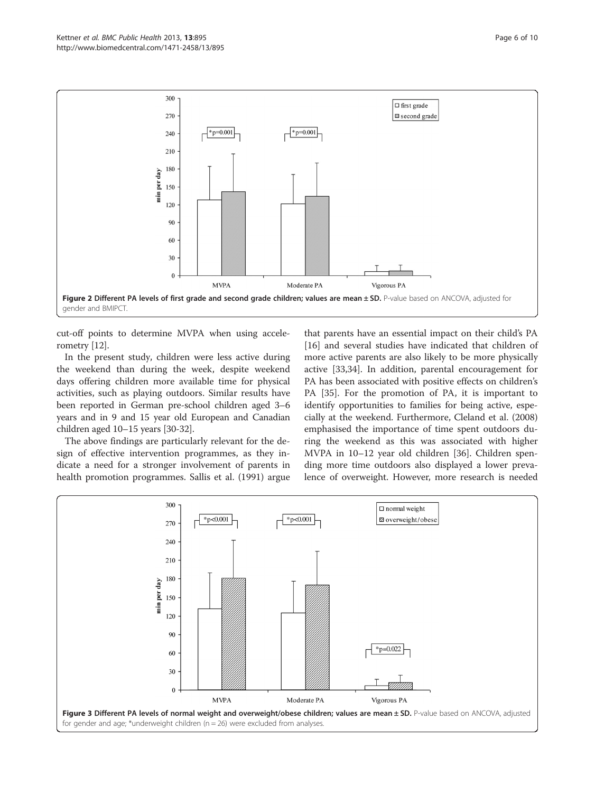<span id="page-5-0"></span>

cut-off points to determine MVPA when using accelerometry [\[12](#page-8-0)].

In the present study, children were less active during the weekend than during the week, despite weekend days offering children more available time for physical activities, such as playing outdoors. Similar results have been reported in German pre-school children aged 3–6 years and in 9 and 15 year old European and Canadian children aged 10–15 years [[30](#page-8-0)-[32](#page-8-0)].

The above findings are particularly relevant for the design of effective intervention programmes, as they indicate a need for a stronger involvement of parents in health promotion programmes. Sallis et al. (1991) argue

that parents have an essential impact on their child's PA [[16\]](#page-8-0) and several studies have indicated that children of more active parents are also likely to be more physically active [[33,34\]](#page-8-0). In addition, parental encouragement for PA has been associated with positive effects on children's PA [[35\]](#page-8-0). For the promotion of PA, it is important to identify opportunities to families for being active, especially at the weekend. Furthermore, Cleland et al. (2008) emphasised the importance of time spent outdoors during the weekend as this was associated with higher MVPA in 10–12 year old children [\[36\]](#page-8-0). Children spending more time outdoors also displayed a lower prevalence of overweight. However, more research is needed

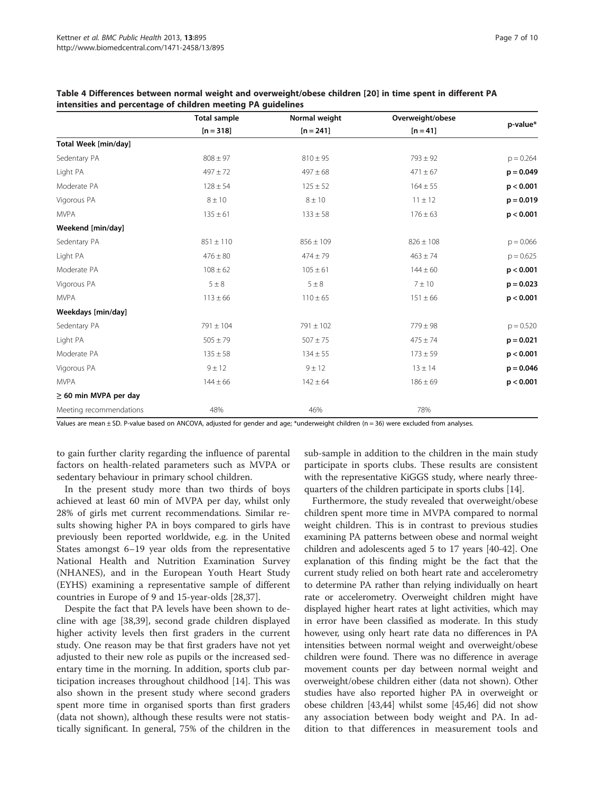|                            | <b>Total sample</b> | Normal weight | Overweight/obese |             |
|----------------------------|---------------------|---------------|------------------|-------------|
|                            | $[n = 318]$         | $[n = 241]$   | $[n = 41]$       | p-value*    |
| Total Week [min/day]       |                     |               |                  |             |
| Sedentary PA               | $808 \pm 97$        | $810 \pm 95$  | $793 \pm 92$     | $p = 0.264$ |
| Light PA                   | $497 \pm 72$        | $497 \pm 68$  | $471 \pm 67$     | $p = 0.049$ |
| Moderate PA                | $128 \pm 54$        | $125 \pm 52$  | $164 \pm 55$     | p < 0.001   |
| Vigorous PA                | $8 \pm 10$          | $8 \pm 10$    | $11 \pm 12$      | $p = 0.019$ |
| <b>MVPA</b>                | $135 \pm 61$        | $133 \pm 58$  | $176 \pm 63$     | p < 0.001   |
| Weekend [min/day]          |                     |               |                  |             |
| Sedentary PA               | $851 \pm 110$       | $856 \pm 109$ | $826 \pm 108$    | $p = 0.066$ |
| Light PA                   | $476 \pm 80$        | $474 \pm 79$  | $463 \pm 74$     | $p = 0.625$ |
| Moderate PA                | $108 \pm 62$        | $105 \pm 61$  | $144 \pm 60$     | p < 0.001   |
| Vigorous PA                | $5 \pm 8$           | $5 \pm 8$     | 7 ± 10           | $p = 0.023$ |
| <b>MVPA</b>                | $113 \pm 66$        | $110 \pm 65$  | $151 \pm 66$     | p < 0.001   |
| Weekdays [min/day]         |                     |               |                  |             |
| Sedentary PA               | $791 \pm 104$       | $791 \pm 102$ | $779 \pm 98$     | $p = 0.520$ |
| Light PA                   | $505 \pm 79$        | $507 \pm 75$  | $475 \pm 74$     | $p = 0.021$ |
| Moderate PA                | $135 \pm 58$        | $134 \pm 55$  | $173 \pm 59$     | p < 0.001   |
| Vigorous PA                | 9 ± 12              | 9 ± 12        | $13 \pm 14$      | $p = 0.046$ |
| <b>MVPA</b>                | $144 \pm 66$        | $142 \pm 64$  | $186 \pm 69$     | p < 0.001   |
| $\geq$ 60 min MVPA per day |                     |               |                  |             |
| Meeting recommendations    | 48%                 | 46%           | 78%              |             |

<span id="page-6-0"></span>Table 4 Differences between normal weight and overweight/obese children [[20\]](#page-8-0) in time spent in different PA intensities and percentage of children meeting PA guidelines

Values are mean  $\pm$  SD. P-value based on ANCOVA, adjusted for gender and age; \*underweight children (n = 36) were excluded from analyses.

to gain further clarity regarding the influence of parental factors on health-related parameters such as MVPA or sedentary behaviour in primary school children.

In the present study more than two thirds of boys achieved at least 60 min of MVPA per day, whilst only 28% of girls met current recommendations. Similar results showing higher PA in boys compared to girls have previously been reported worldwide, e.g. in the United States amongst 6–19 year olds from the representative National Health and Nutrition Examination Survey (NHANES), and in the European Youth Heart Study (EYHS) examining a representative sample of different countries in Europe of 9 and 15-year-olds [[28,37\]](#page-8-0).

Despite the fact that PA levels have been shown to decline with age [[38,39\]](#page-8-0), second grade children displayed higher activity levels then first graders in the current study. One reason may be that first graders have not yet adjusted to their new role as pupils or the increased sedentary time in the morning. In addition, sports club participation increases throughout childhood [[14](#page-8-0)]. This was also shown in the present study where second graders spent more time in organised sports than first graders (data not shown), although these results were not statistically significant. In general, 75% of the children in the

sub-sample in addition to the children in the main study participate in sports clubs. These results are consistent with the representative KiGGS study, where nearly threequarters of the children participate in sports clubs [\[14\]](#page-8-0).

Furthermore, the study revealed that overweight/obese children spent more time in MVPA compared to normal weight children. This is in contrast to previous studies examining PA patterns between obese and normal weight children and adolescents aged 5 to 17 years [[40-42\]](#page-8-0). One explanation of this finding might be the fact that the current study relied on both heart rate and accelerometry to determine PA rather than relying individually on heart rate or accelerometry. Overweight children might have displayed higher heart rates at light activities, which may in error have been classified as moderate. In this study however, using only heart rate data no differences in PA intensities between normal weight and overweight/obese children were found. There was no difference in average movement counts per day between normal weight and overweight/obese children either (data not shown). Other studies have also reported higher PA in overweight or obese children [\[43,44](#page-8-0)] whilst some [\[45,46\]](#page-8-0) did not show any association between body weight and PA. In addition to that differences in measurement tools and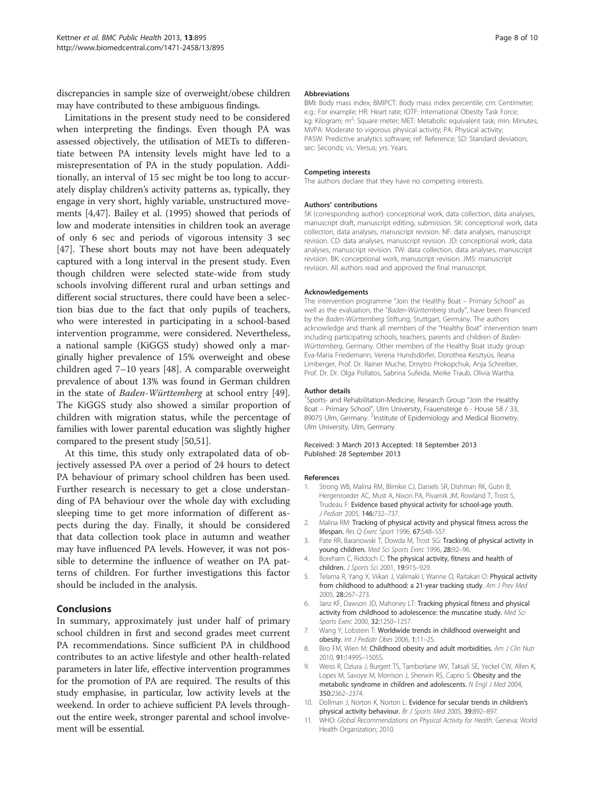<span id="page-7-0"></span>discrepancies in sample size of overweight/obese children may have contributed to these ambiguous findings.

Limitations in the present study need to be considered when interpreting the findings. Even though PA was assessed objectively, the utilisation of METs to differentiate between PA intensity levels might have led to a misrepresentation of PA in the study population. Additionally, an interval of 15 sec might be too long to accurately display children's activity patterns as, typically, they engage in very short, highly variable, unstructured movements [4,[47](#page-8-0)]. Bailey et al. (1995) showed that periods of low and moderate intensities in children took an average of only 6 sec and periods of vigorous intensity 3 sec [[47\]](#page-8-0). These short bouts may not have been adequately captured with a long interval in the present study. Even though children were selected state-wide from study schools involving different rural and urban settings and different social structures, there could have been a selection bias due to the fact that only pupils of teachers, who were interested in participating in a school-based intervention programme, were considered. Nevertheless, a national sample (KiGGS study) showed only a marginally higher prevalence of 15% overweight and obese children aged 7–10 years [[48](#page-8-0)]. A comparable overweight prevalence of about 13% was found in German children in the state of Baden-Württemberg at school entry [\[49](#page-8-0)]. The KiGGS study also showed a similar proportion of children with migration status, while the percentage of families with lower parental education was slightly higher compared to the present study [[50](#page-8-0)[,51\]](#page-9-0).

At this time, this study only extrapolated data of objectively assessed PA over a period of 24 hours to detect PA behaviour of primary school children has been used. Further research is necessary to get a close understanding of PA behaviour over the whole day with excluding sleeping time to get more information of different aspects during the day. Finally, it should be considered that data collection took place in autumn and weather may have influenced PA levels. However, it was not possible to determine the influence of weather on PA patterns of children. For further investigations this factor should be included in the analysis.

## Conclusions

In summary, approximately just under half of primary school children in first and second grades meet current PA recommendations. Since sufficient PA in childhood contributes to an active lifestyle and other health-related parameters in later life, effective intervention programmes for the promotion of PA are required. The results of this study emphasise, in particular, low activity levels at the weekend. In order to achieve sufficient PA levels throughout the entire week, stronger parental and school involvement will be essential.

#### **Abbreviations**

BMI: Body mass index; BMIPCT: Body mass index percentile; cm: Centimeter; e.g.: For example; HR: Heart rate; IOTF: International Obesity Task Force; kg: Kilogram; m<sup>2</sup>: Square meter; MET: Metabolic equivalent task; min: Minutes MVPA: Moderate to vigorous physical activity; PA: Physical activity; PASW: Predictive analytics software; ref: Reference; SD: Standard deviation; sec: Seconds; vs.: Versus; yrs: Years.

#### Competing interests

The authors declare that they have no competing interests.

#### Authors' contributions

SK (corresponding author): conceptional work, data collection, data analyses, manuscript draft, manuscript editing, submission. SK: conceptional work, data collection, data analyses, manuscript revision. NF: data analyses, manuscript revision. CD: data analyses, manuscript revision. JD: conceptional work, data analyses, manuscript revision. TW: data collection, data analyses, manuscript revision. BK: conceptional work, manuscript revision. JMS: manuscript revision. All authors read and approved the final manuscript.

#### Acknowledgements

The intervention programme "Join the Healthy Boat – Primary School" as well as the evaluation, the "Baden-Württemberg study", have been financed by the Baden-Württemberg Stiftung, Stuttgart, Germany. The authors acknowledge and thank all members of the "Healthy Boat" intervention team including participating schools, teachers, parents and children of Baden-Württemberg, Germany. Other members of the Healthy Boat study group: Eva-Maria Friedemann, Verena Hundsdörfer, Dorothea Kesztyüs, Ileana Limberger, Prof. Dr. Rainer Muche, Dmytro Prokopchuk, Anja Schreiber, Prof. Dr. Dr. Olga Pollatos, Sabrina Sufeida, Meike Traub, Olivia Wartha.

#### Author details

<sup>1</sup>Sports- and Rehabilitation-Medicine, Research Group "Join the Healthy Boat – Primary School", Ulm University, Frauensteige 6 - House 58 / 33, 89075 Ulm, Germany. <sup>2</sup>Institute of Epidemiology and Medical Biometry Ulm University, Ulm, Germany.

#### Received: 3 March 2013 Accepted: 18 September 2013 Published: 28 September 2013

#### References

- 1. Strong WB, Malina RM, Blimkie CJ, Daniels SR, Dishman RK, Gutin B, Hergenroeder AC, Must A, Nixon PA, Pivarnik JM, Rowland T, Trost S, Trudeau F: Evidence based physical activity for school-age youth. J Pediatr 2005, 146:732–737.
- 2. Malina RM: Tracking of physical activity and physical fitness across the lifespan. Res Q Exerc Sport 1996, 67:S48–S57.
- 3. Pate RR, Baranowski T, Dowda M, Trost SG: Tracking of physical activity in young children. Med Sci Sports Exerc 1996, 28:92–96.
- 4. Boreham C, Riddoch C: The physical activity, fitness and health of children. J Sports Sci 2001, 19:915–929.
- 5. Telama R, Yang X, Viikari J, Valimaki I, Wanne O, Raitakari O: Physical activity from childhood to adulthood: a 21-year tracking study. Am J Prev Med 2005, 28:267–273.
- 6. Janz KF, Dawson JD, Mahoney LT: Tracking physical fitness and physical activity from childhood to adolescence: the muscatine study. Med Sci Sports Exerc 2000, 32:1250-1257.
- 7. Wang Y, Lobstein T: Worldwide trends in childhood overweight and obesity. Int J Pediatr Obes 2006, 1:11–25.
- 8. Biro FM, Wien M: Childhood obesity and adult morbidities. Am J Clin Nutr 2010, 91:1499S–1505S.
- 9. Weiss R, Dziura J, Burgert TS, Tamborlane WV, Taksali SE, Yeckel CW, Allen K, Lopes M, Savoye M, Morrison J, Sherwin RS, Caprio S: Obesity and the metabolic syndrome in children and adolescents. N Engl J Med 2004, 350:2362–2374.
- 10. Dollman J, Norton K, Norton L: Evidence for secular trends in children's physical activity behaviour. Br J Sports Med 2005, 39:892-897.
- 11. WHO: Global Recommendations on Physical Activity for Health. Geneva: World Health Organization; 2010.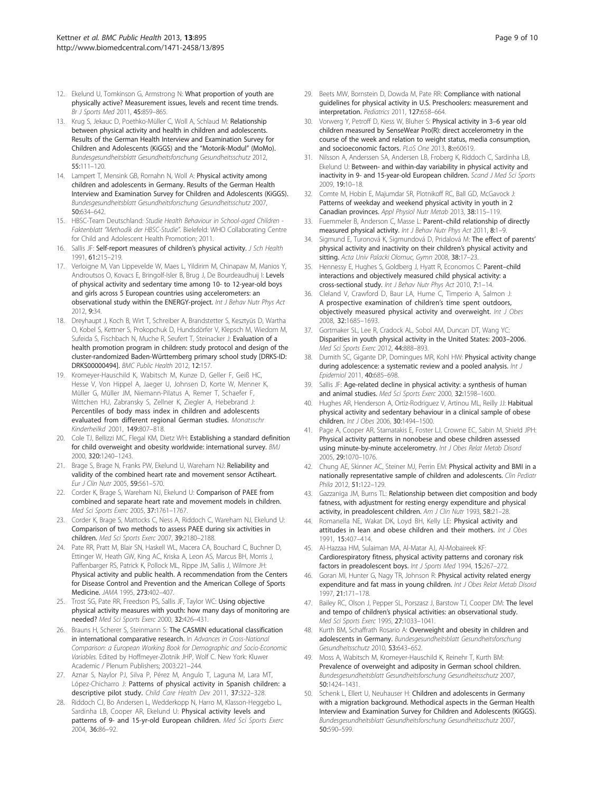- <span id="page-8-0"></span>12. Ekelund U, Tomkinson G, Armstrong N: What proportion of youth are physically active? Measurement issues, levels and recent time trends. Br J Sports Med 2011, 45:859–865.
- 13. Krug S, Jekauc D, Poethko-Müller C, Woll A, Schlaud M: Relationship between physical activity and health in children and adolescents. Results of the German Health Interview and Examination Survey for Children and Adolescents (KiGGS) and the "Motorik-Modul" (MoMo). Bundesgesundheitsblatt Gesundheitsforschung Gesundheitsschutz 2012, 55:111–120.
- 14. Lampert T, Mensink GB, Romahn N, Woll A: Physical activity among children and adolescents in Germany. Results of the German Health Interview and Examination Survey for Children and Adolescents (KiGGS). Bundesgesundheitsblatt Gesundheitsforschung Gesundheitsschutz 2007, 50:634–642.
- 15. HBSC-Team Deutschland: Studie Health Behaviour in School-aged Children Faktenblatt "Methodik der HBSC-Studie". Bielefeld: WHO Collaborating Centre for Child and Adolescent Health Promotion; 2011.
- 16. Sallis JF: Self-report measures of children's physical activity. J Sch Health 1991, 61:215–219.
- 17. Verloigne M, Van Lippevelde W, Maes L, Yildirim M, Chinapaw M, Manios Y, Androutsos O, Kovacs E, Bringolf-Isler B, Brug J, De Bourdeaudhuij I: Levels of physical activity and sedentary time among 10- to 12-year-old boys and girls across 5 European countries using accelerometers: an observational study within the ENERGY-project. Int J Behav Nutr Phys Act 2012, 9:34.
- 18. Dreyhaupt J, Koch B, Wirt T, Schreiber A, Brandstetter S, Kesztyüs D, Wartha O, Kobel S, Kettner S, Prokopchuk D, Hundsdörfer V, Klepsch M, Wiedom M, Sufeida S, Fischbach N, Muche R, Seufert T, Steinacker J: Evaluation of a health promotion program in children: study protocol and design of the cluster-randomized Baden-Württemberg primary school study [DRKS-ID: DRKS00000494]. BMC Public Health 2012, 12:157.
- Kromeyer-Hauschild K, Wabitsch M, Kunze D, Geller F, Geiß HC, Hesse V, Von Hippel A, Jaeger U, Johnsen D, Korte W, Menner K, Müller G, Müller JM, Niemann-Pilatus A, Remer T, Schaefer F, Wittchen HU, Zabransky S, Zellner K, Ziegler A, Hebebrand J: Percentiles of body mass index in children and adolescents evaluated from different regional German studies. Monatsschr Kinderheilkd 2001, 149:807–818.
- 20. Cole TJ, Bellizzi MC, Flegal KM, Dietz WH: Establishing a standard definition for child overweight and obesity worldwide: international survey. BMJ 2000, 320:1240–1243.
- 21. Brage S, Brage N, Franks PW, Ekelund U, Wareham NJ: Reliability and validity of the combined heart rate and movement sensor Actiheart. Eur J Clin Nutr 2005, 59:561–570.
- 22. Corder K, Brage S, Wareham NJ, Ekelund U: Comparison of PAEE from combined and separate heart rate and movement models in children. Med Sci Sports Exerc 2005, 37:1761–1767.
- 23. Corder K, Brage S, Mattocks C, Ness A, Riddoch C, Wareham NJ, Ekelund U: Comparison of two methods to assess PAEE during six activities in children. Med Sci Sports Exerc 2007, 39:2180–2188.
- 24. Pate RR, Pratt M, Blair SN, Haskell WL, Macera CA, Bouchard C, Buchner D, Ettinger W, Heath GW, King AC, Kriska A, Leon AS, Marcus BH, Morris J, Paffenbarger RS, Patrick K, Pollock ML, Rippe JM, Sallis J, Wilmore JH: Physical activity and public health. A recommendation from the Centers for Disease Control and Prevention and the American College of Sports Medicine. JAMA 1995, 273:402–407.
- 25. Trost SG, Pate RR, Freedson PS, Sallis JF, Taylor WC: Using objective physical activity measures with youth: how many days of monitoring are needed? Med Sci Sports Exerc 2000, 32:426–431.
- 26. Brauns H, Scherer S, Steinmann S: The CASMIN educational classification in international comparative research. In Advances in Cross-National Comparison: a European Working Book for Demographic and Socio-Economic Variables. Edited by Hoffmeyer-Zlotnik JHP, Wolf C. New York: Kluwer Academic / Plenum Publishers; 2003:221–244.
- 27. Aznar S, Naylor PJ, Silva P, Pérez M, Angulo T, Laguna M, Lara MT, López-Chicharro J: Patterns of physical activity in Spanish children: a descriptive pilot study. Child Care Health Dev 2011, 37:322–328.
- 28. Riddoch CJ, Bo Andersen L, Wedderkopp N, Harro M, Klasson-Heggebo L, Sardinha LB, Cooper AR, Ekelund U: Physical activity levels and patterns of 9- and 15-yr-old European children. Med Sci Sports Exerc 2004, 36:86–92.
- 29. Beets MW, Bornstein D, Dowda M, Pate RR: Compliance with national guidelines for physical activity in U.S. Preschoolers: measurement and interpretation. Pediatrics 2011, 127:658–664.
- 30. Vorwerg Y, Petroff D, Kiess W, Bluher S: Physical activity in 3–6 year old children measured by SenseWear Pro(R): direct accelerometry in the course of the week and relation to weight status, media consumption, and socioeconomic factors. PLoS One 2013, 8:e60619.
- 31. Nilsson A, Anderssen SA, Andersen LB, Froberg K, Riddoch C, Sardinha LB, Ekelund U: Between- and within-day variability in physical activity and inactivity in 9- and 15-year-old European children. Scand J Med Sci Sports 2009, 19:10–18.
- 32. Comte M, Hobin E, Majumdar SR, Plotnikoff RC, Ball GD, McGavock J: Patterns of weekday and weekend physical activity in youth in 2 Canadian provinces. Appl Physiol Nutr Metab 2013, 38:115–119.
- 33. Fuemmeler B, Anderson C, Masse L: Parent-child relationship of directly measured physical activity. Int J Behav Nutr Phys Act 2011, 8:1-9.
- 34. Sigmund E, Turonová K, Sigmundová D, Pridalová M: The effect of parents' physical activity and inactivity on their children's physical activity and sitting. Acta Univ Palacki Olomuc, Gymn 2008, 38:17-23.
- 35. Hennessy E, Hughes S, Goldberg J, Hyatt R, Economos C: Parent–child interactions and objectively measured child physical activity: a cross-sectional study. Int J Behav Nutr Phys Act 2010, 7:1–14.
- 36. Cleland V, Crawford D, Baur LA, Hume C, Timperio A, Salmon J: A prospective examination of children's time spent outdoors, objectively measured physical activity and overweight. Int J Obes 2008, 32:1685–1693.
- 37. Gortmaker SL, Lee R, Cradock AL, Sobol AM, Duncan DT, Wang YC: Disparities in youth physical activity in the United States: 2003–2006. Med Sci Sports Exerc 2012, 44:888–893.
- 38. Dumith SC, Gigante DP, Domingues MR, Kohl HW: Physical activity change during adolescence: a systematic review and a pooled analysis. Int J Epidemiol 2011, 40:685–698.
- 39. Sallis JF: Age-related decline in physical activity: a synthesis of human and animal studies. Med Sci Sports Exerc 2000, 32:1598–1600.
- 40. Hughes AR, Henderson A, Ortiz-Rodriguez V, Artinou ML, Reilly JJ: Habitual physical activity and sedentary behaviour in a clinical sample of obese children. Int J Obes 2006, 30:1494–1500.
- 41. Page A, Cooper AR, Stamatakis E, Foster LJ, Crowne EC, Sabin M, Shield JPH: Physical activity patterns in nonobese and obese children assessed using minute-by-minute accelerometry. Int J Obes Relat Metab Disord 2005, 29:1070–1076.
- 42. Chung AE, Skinner AC, Steiner MJ, Perrin EM: Physical activity and BMI in a nationally representative sample of children and adolescents. Clin Pediatr Phila 2012, 51:122–129.
- 43. Gazzaniga JM, Burns TL: Relationship between diet composition and body fatness, with adjustment for resting energy expenditure and physical activity, in preadolescent children. Am J Clin Nutr 1993, 58:21-28.
- 44. Romanella NE, Wakat DK, Loyd BH, Kelly LE: Physical activity and attitudes in lean and obese children and their mothers. Int J Obes 1991, 15:407–414.
- 45. Al-Hazzaa HM, Sulaiman MA, Al-Matar AJ, Al-Mobaireek KF: Cardiorespiratory fitness, physical activity patterns and coronary risk factors in preadolescent boys. Int J Sports Med 1994, 15:267-272
- 46. Goran MI, Hunter G, Nagy TR, Johnson R: Physical activity related energy expenditure and fat mass in young children. Int J Obes Relat Metab Disord 1997, 21:171–178.
- 47. Bailey RC, Olson J, Pepper SL, Porszasz J, Barstow TJ, Cooper DM: The level and tempo of children's physical activities: an observational study. Med Sci Sports Exerc 1995, 27:1033–1041.
- 48. Kurth BM, Schaffrath Rosario A: Overweight and obesity in children and adolescents in Germany. Bundesgesundheitsblatt Gesundheitsforschung Gesundheitsschutz 2010, 53:643–652.
- 49. Moss A, Wabitsch M, Kromeyer-Hauschild K, Reinehr T, Kurth BM: Prevalence of overweight and adiposity in German school children. Bundesgesundheitsblatt Gesundheitsforschung Gesundheitsschutz 2007, 50:1424–1431.
- 50. Schenk L, Ellert U, Neuhauser H: Children and adolescents in Germany with a migration background. Methodical aspects in the German Health Interview and Examination Survey for Children and Adolescents (KiGGS). Bundesgesundheitsblatt Gesundheitsforschung Gesundheitsschutz 2007, 50:590–599.